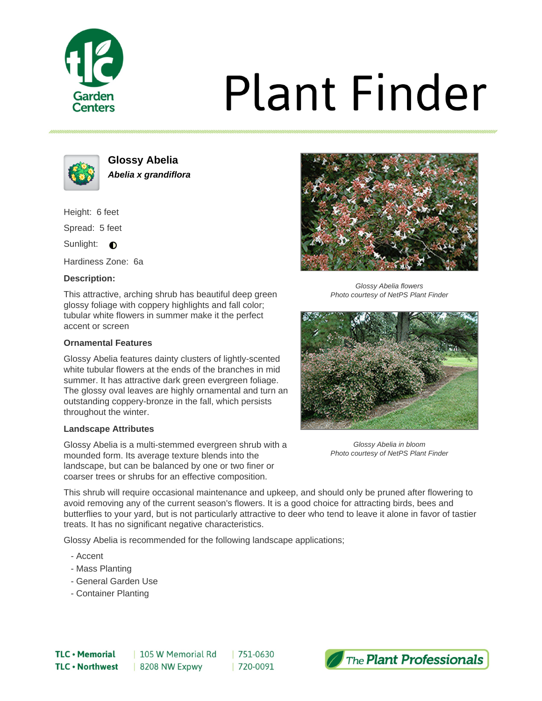

# **Plant Finder**



**Glossy Abelia Abelia x grandiflora**

Height: 6 feet

Spread: 5 feet

Sunlight:  $\bigcirc$ 

Hardiness Zone: 6a

# **Description:**

This attractive, arching shrub has beautiful deep green glossy foliage with coppery highlights and fall color; tubular white flowers in summer make it the perfect accent or screen

## **Ornamental Features**

Glossy Abelia features dainty clusters of lightly-scented white tubular flowers at the ends of the branches in mid summer. It has attractive dark green evergreen foliage. The glossy oval leaves are highly ornamental and turn an outstanding coppery-bronze in the fall, which persists throughout the winter.

### **Landscape Attributes**

Glossy Abelia is a multi-stemmed evergreen shrub with a mounded form. Its average texture blends into the landscape, but can be balanced by one or two finer or coarser trees or shrubs for an effective composition.



Glossy Abelia flowers Photo courtesy of NetPS Plant Finder



Glossy Abelia in bloom Photo courtesy of NetPS Plant Finder

This shrub will require occasional maintenance and upkeep, and should only be pruned after flowering to avoid removing any of the current season's flowers. It is a good choice for attracting birds, bees and butterflies to your yard, but is not particularly attractive to deer who tend to leave it alone in favor of tastier treats. It has no significant negative characteristics.

Glossy Abelia is recommended for the following landscape applications;

- Accent
- Mass Planting
- General Garden Use
- Container Planting